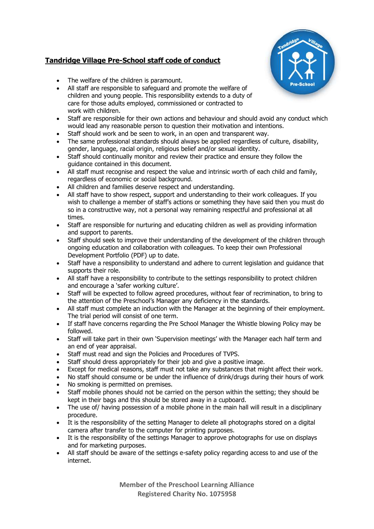## **Tandridge Village Pre-School staff code of conduct**



- The welfare of the children is paramount.
- All staff are responsible to safeguard and promote the welfare of children and young people. This responsibility extends to a duty of care for those adults employed, commissioned or contracted to work with children.
- Staff are responsible for their own actions and behaviour and should avoid any conduct which would lead any reasonable person to question their motivation and intentions.
- Staff should work and be seen to work, in an open and transparent way.
- The same professional standards should always be applied regardless of culture, disability, gender, language, racial origin, religious belief and/or sexual identity.
- Staff should continually monitor and review their practice and ensure they follow the guidance contained in this document.
- All staff must recognise and respect the value and intrinsic worth of each child and family, regardless of economic or social background.
- All children and families deserve respect and understanding.
- All staff have to show respect, support and understanding to their work colleagues. If you wish to challenge a member of staff's actions or something they have said then you must do so in a constructive way, not a personal way remaining respectful and professional at all times.
- Staff are responsible for nurturing and educating children as well as providing information and support to parents.
- Staff should seek to improve their understanding of the development of the children through ongoing education and collaboration with colleagues. To keep their own Professional Development Portfolio (PDF) up to date.
- Staff have a responsibility to understand and adhere to current legislation and guidance that supports their role.
- All staff have a responsibility to contribute to the settings responsibility to protect children and encourage a 'safer working culture'.
- Staff will be expected to follow agreed procedures, without fear of recrimination, to bring to the attention of the Preschool's Manager any deficiency in the standards.
- All staff must complete an induction with the Manager at the beginning of their employment. The trial period will consist of one term.
- If staff have concerns regarding the Pre School Manager the Whistle blowing Policy may be followed.
- Staff will take part in their own 'Supervision meetings' with the Manager each half term and an end of year appraisal.
- Staff must read and sign the Policies and Procedures of TVPS.
- Staff should dress appropriately for their job and give a positive image.
- Except for medical reasons, staff must not take any substances that might affect their work.
- No staff should consume or be under the influence of drink/drugs during their hours of work
- No smoking is permitted on premises.
- Staff mobile phones should not be carried on the person within the setting; they should be kept in their bags and this should be stored away in a cupboard.
- The use of / having possession of a mobile phone in the main hall will result in a disciplinary procedure.
- It is the responsibility of the setting Manager to delete all photographs stored on a digital camera after transfer to the computer for printing purposes.
- It is the responsibility of the settings Manager to approve photographs for use on displays and for marketing purposes.
- All staff should be aware of the settings e-safety policy regarding access to and use of the internet.

**Member of the Preschool Learning Alliance Registered Charity No. 1075958**